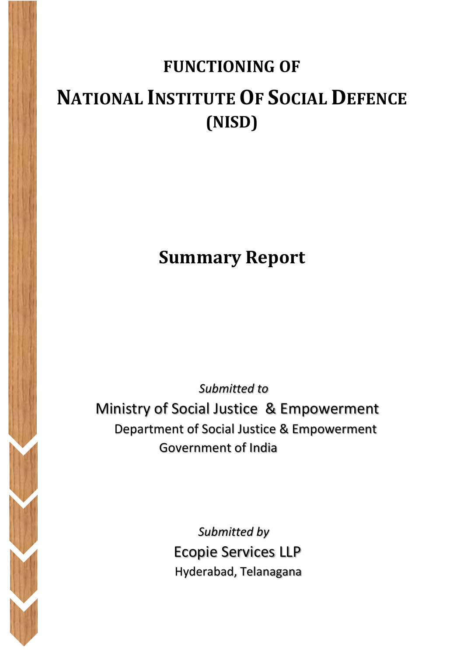# **FUNCTIONING OF NATIONAL INSTITUTE OF SOCIAL DEFENCE (NISD)**

## **Summary Report**

*Submitted to* 

 Ministry of Social Justice & Empowerment Department of Social Justice & Empowerment Government of India

> *Submitted by*  Ecopie Services LLP Hyderabad, Telanagana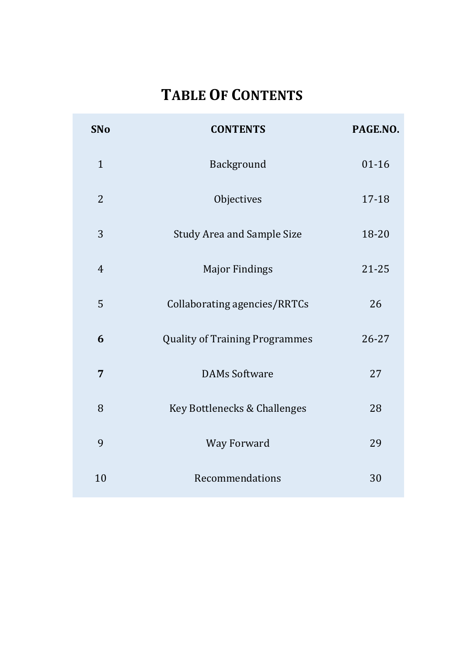## **TABLE OF CONTENTS**

| <b>SNo</b>     | <b>CONTENTS</b>                       | PAGE.NO.  |
|----------------|---------------------------------------|-----------|
| $\mathbf{1}$   | Background                            | $01 - 16$ |
| $\overline{2}$ | Objectives                            | 17-18     |
| 3              | <b>Study Area and Sample Size</b>     | 18-20     |
| $\overline{4}$ | <b>Major Findings</b>                 | $21 - 25$ |
| 5              | Collaborating agencies/RRTCs          | 26        |
| 6              | <b>Quality of Training Programmes</b> | 26-27     |
| 7              | <b>DAMs Software</b>                  | 27        |
| 8              | Key Bottlenecks & Challenges          | 28        |
| 9              | Way Forward                           | 29        |
| 10             | Recommendations                       | 30        |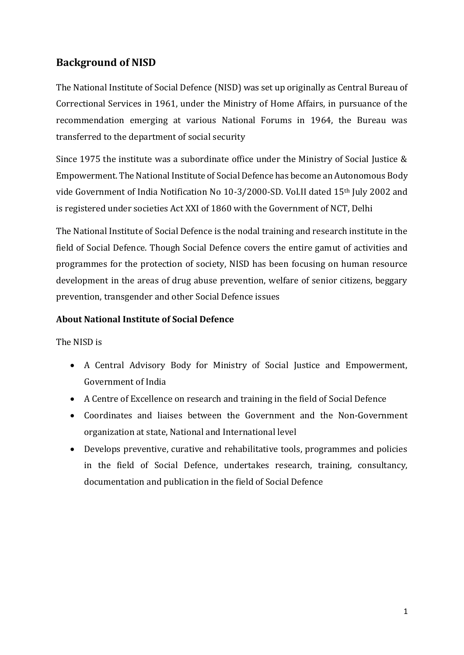#### **Background of NISD**

The National Institute of Social Defence (NISD) was set up originally as Central Bureau of Correctional Services in 1961, under the Ministry of Home Affairs, in pursuance of the recommendation emerging at various National Forums in 1964, the Bureau was transferred to the department of social security

Since 1975 the institute was a subordinate office under the Ministry of Social Justice & Empowerment. The National Institute of Social Defence has become an Autonomous Body vide Government of India Notification No 10-3/2000-SD. Vol.II dated 15th July 2002 and is registered under societies Act XXI of 1860 with the Government of NCT, Delhi

The National Institute of Social Defence is the nodal training and research institute in the field of Social Defence. Though Social Defence covers the entire gamut of activities and programmes for the protection of society, NISD has been focusing on human resource development in the areas of drug abuse prevention, welfare of senior citizens, beggary prevention, transgender and other Social Defence issues

#### **About National Institute of Social Defence**

The NISD is

- A Central Advisory Body for Ministry of Social Justice and Empowerment, Government of India
- A Centre of Excellence on research and training in the field of Social Defence
- Coordinates and liaises between the Government and the Non-Government organization at state, National and International level
- Develops preventive, curative and rehabilitative tools, programmes and policies in the field of Social Defence, undertakes research, training, consultancy, documentation and publication in the field of Social Defence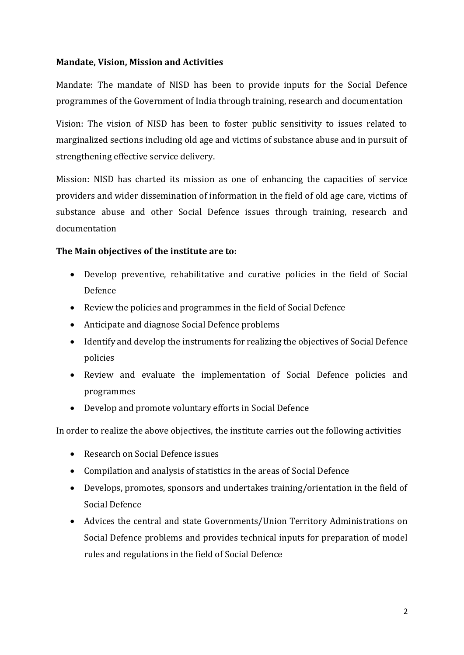#### **Mandate, Vision, Mission and Activities**

Mandate: The mandate of NISD has been to provide inputs for the Social Defence programmes of the Government of India through training, research and documentation

Vision: The vision of NISD has been to foster public sensitivity to issues related to marginalized sections including old age and victims of substance abuse and in pursuit of strengthening effective service delivery.

Mission: NISD has charted its mission as one of enhancing the capacities of service providers and wider dissemination of information in the field of old age care, victims of substance abuse and other Social Defence issues through training, research and documentation

#### **The Main objectives of the institute are to:**

- Develop preventive, rehabilitative and curative policies in the field of Social Defence
- Review the policies and programmes in the field of Social Defence
- Anticipate and diagnose Social Defence problems
- Identify and develop the instruments for realizing the objectives of Social Defence policies
- Review and evaluate the implementation of Social Defence policies and programmes
- Develop and promote voluntary efforts in Social Defence

In order to realize the above objectives, the institute carries out the following activities

- Research on Social Defence issues
- Compilation and analysis of statistics in the areas of Social Defence
- Develops, promotes, sponsors and undertakes training/orientation in the field of Social Defence
- Advices the central and state Governments/Union Territory Administrations on Social Defence problems and provides technical inputs for preparation of model rules and regulations in the field of Social Defence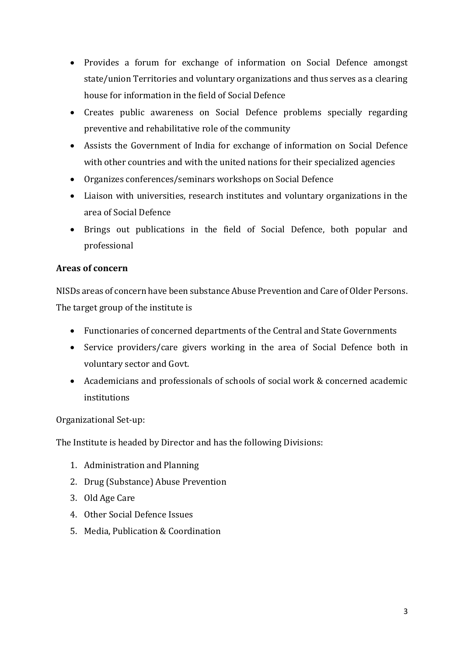- Provides a forum for exchange of information on Social Defence amongst state/union Territories and voluntary organizations and thus serves as a clearing house for information in the field of Social Defence
- Creates public awareness on Social Defence problems specially regarding preventive and rehabilitative role of the community
- Assists the Government of India for exchange of information on Social Defence with other countries and with the united nations for their specialized agencies
- Organizes conferences/seminars workshops on Social Defence
- Liaison with universities, research institutes and voluntary organizations in the area of Social Defence
- Brings out publications in the field of Social Defence, both popular and professional

#### **Areas of concern**

NISDs areas of concern have been substance Abuse Prevention and Care of Older Persons. The target group of the institute is

- Functionaries of concerned departments of the Central and State Governments
- Service providers/care givers working in the area of Social Defence both in voluntary sector and Govt.
- Academicians and professionals of schools of social work & concerned academic institutions

Organizational Set-up:

The Institute is headed by Director and has the following Divisions:

- 1. Administration and Planning
- 2. Drug (Substance) Abuse Prevention
- 3. Old Age Care
- 4. Other Social Defence Issues
- 5. Media, Publication & Coordination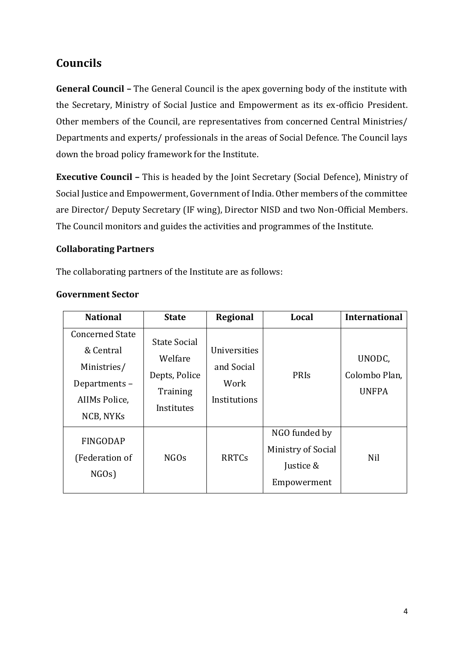## **Councils**

**General Council –** The General Council is the apex governing body of the institute with the Secretary, Ministry of Social Justice and Empowerment as its ex-officio President. Other members of the Council, are representatives from concerned Central Ministries/ Departments and experts/ professionals in the areas of Social Defence. The Council lays down the broad policy framework for the Institute.

**Executive Council –** This is headed by the Joint Secretary (Social Defence), Ministry of Social Justice and Empowerment, Government of India. Other members of the committee are Director/ Deputy Secretary (IF wing), Director NISD and two Non-Official Members. The Council monitors and guides the activities and programmes of the Institute.

#### **Collaborating Partners**

The collaborating partners of the Institute are as follows:

| <b>National</b>                                                                                  | <b>State</b>                                                              | Regional                                           | Local                                                                  | <b>International</b>                    |
|--------------------------------------------------------------------------------------------------|---------------------------------------------------------------------------|----------------------------------------------------|------------------------------------------------------------------------|-----------------------------------------|
| <b>Concerned State</b><br>& Central<br>Ministries/<br>Departments-<br>AIIMs Police,<br>NCB, NYKs | <b>State Social</b><br>Welfare<br>Depts, Police<br>Training<br>Institutes | Universities<br>and Social<br>Work<br>Institutions | PRIs                                                                   | UNODC,<br>Colombo Plan,<br><b>UNFPA</b> |
| <b>FINGODAP</b><br>(Federation of<br>NGOs)                                                       | NGO <sub>s</sub>                                                          | <b>RRTCs</b>                                       | NGO funded by<br><b>Ministry of Social</b><br>Justice &<br>Empowerment | Nil                                     |

#### **Government Sector**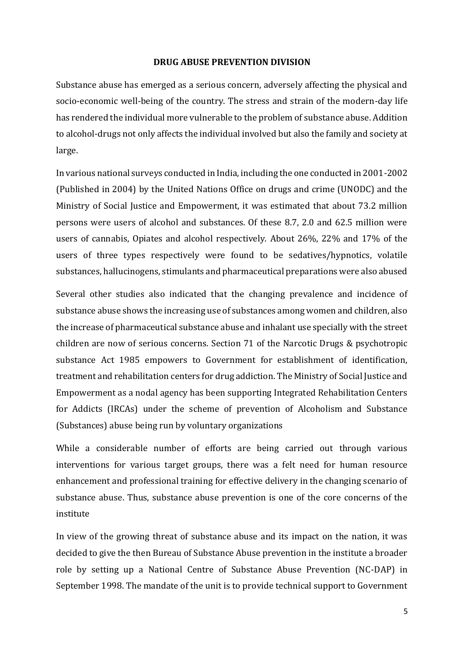#### **DRUG ABUSE PREVENTION DIVISION**

Substance abuse has emerged as a serious concern, adversely affecting the physical and socio-economic well-being of the country. The stress and strain of the modern-day life has rendered the individual more vulnerable to the problem of substance abuse. Addition to alcohol-drugs not only affects the individual involved but also the family and society at large.

In various national surveys conducted in India, including the one conducted in 2001-2002 (Published in 2004) by the United Nations Office on drugs and crime (UNODC) and the Ministry of Social Justice and Empowerment, it was estimated that about 73.2 million persons were users of alcohol and substances. Of these 8.7, 2.0 and 62.5 million were users of cannabis, Opiates and alcohol respectively. About 26%, 22% and 17% of the users of three types respectively were found to be sedatives/hypnotics, volatile substances, hallucinogens, stimulants and pharmaceutical preparations were also abused

Several other studies also indicated that the changing prevalence and incidence of substance abuse shows the increasing use of substances among women and children, also the increase of pharmaceutical substance abuse and inhalant use specially with the street children are now of serious concerns. Section 71 of the Narcotic Drugs & psychotropic substance Act 1985 empowers to Government for establishment of identification, treatment and rehabilitation centers for drug addiction. The Ministry of Social Justice and Empowerment as a nodal agency has been supporting Integrated Rehabilitation Centers for Addicts (IRCAs) under the scheme of prevention of Alcoholism and Substance (Substances) abuse being run by voluntary organizations

While a considerable number of efforts are being carried out through various interventions for various target groups, there was a felt need for human resource enhancement and professional training for effective delivery in the changing scenario of substance abuse. Thus, substance abuse prevention is one of the core concerns of the institute

In view of the growing threat of substance abuse and its impact on the nation, it was decided to give the then Bureau of Substance Abuse prevention in the institute a broader role by setting up a National Centre of Substance Abuse Prevention (NC-DAP) in September 1998. The mandate of the unit is to provide technical support to Government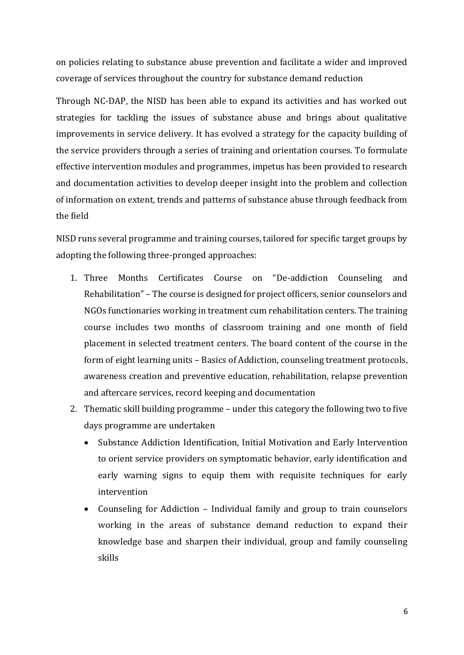on policies relating to substance abuse prevention and facilitate a wider and improved coverage of services throughout the country for substance demand reduction

Through NC-DAP, the NISD has been able to expand its activities and has worked out strategies for tackling the issues of substance abuse and brings about qualitative improvements in service delivery. It has evolved a strategy for the capacity building of the service providers through a series of training and orientation courses. To formulate effective intervention modules and programmes, impetus has been provided to research and documentation activities to develop deeper insight into the problem and collection of information on extent, trends and patterns of substance abuse through feedback from the field

NISD runs several programme and training courses, tailored for specific target groups by adopting the following three-pronged approaches:

- 1. Three Months Certificates Course on "De-addiction Counseling and Rehabilitation" – The course is designed for project officers, senior counselors and NGOs functionaries working in treatment cum rehabilitation centers. The training course includes two months of classroom training and one month of field placement in selected treatment centers. The board content of the course in the form of eight learning units – Basics of Addiction, counseling treatment protocols, awareness creation and preventive education, rehabilitation, relapse prevention and aftercare services, record keeping and documentation
- 2. Thematic skill building programme under this category the following two to five days programme are undertaken
	- Substance Addiction Identification, Initial Motivation and Early Intervention to orient service providers on symptomatic behavior, early identification and early warning signs to equip them with requisite techniques for early intervention
	- Counseling for Addiction Individual family and group to train counselors working in the areas of substance demand reduction to expand their knowledge base and sharpen their individual, group and family counseling skills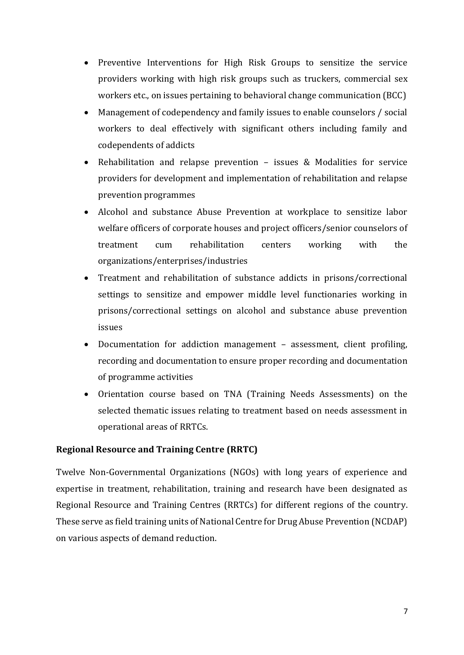- Preventive Interventions for High Risk Groups to sensitize the service providers working with high risk groups such as truckers, commercial sex workers etc., on issues pertaining to behavioral change communication (BCC)
- Management of codependency and family issues to enable counselors / social workers to deal effectively with significant others including family and codependents of addicts
- Rehabilitation and relapse prevention issues & Modalities for service providers for development and implementation of rehabilitation and relapse prevention programmes
- Alcohol and substance Abuse Prevention at workplace to sensitize labor welfare officers of corporate houses and project officers/senior counselors of treatment cum rehabilitation centers working with the organizations/enterprises/industries
- Treatment and rehabilitation of substance addicts in prisons/correctional settings to sensitize and empower middle level functionaries working in prisons/correctional settings on alcohol and substance abuse prevention issues
- Documentation for addiction management assessment, client profiling, recording and documentation to ensure proper recording and documentation of programme activities
- Orientation course based on TNA (Training Needs Assessments) on the selected thematic issues relating to treatment based on needs assessment in operational areas of RRTCs.

#### **Regional Resource and Training Centre (RRTC)**

Twelve Non-Governmental Organizations (NGOs) with long years of experience and expertise in treatment, rehabilitation, training and research have been designated as Regional Resource and Training Centres (RRTCs) for different regions of the country. These serve as field training units of National Centre for Drug Abuse Prevention (NCDAP) on various aspects of demand reduction.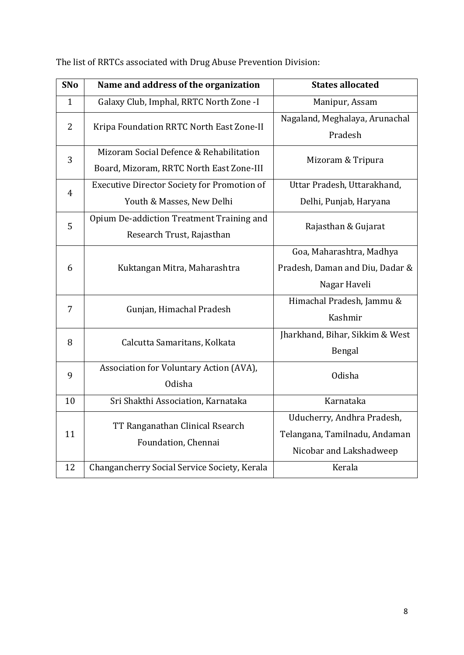| <b>SNo</b>     | Name and address of the organization               | <b>States allocated</b>         |
|----------------|----------------------------------------------------|---------------------------------|
| $\mathbf{1}$   | Galaxy Club, Imphal, RRTC North Zone -I            | Manipur, Assam                  |
| $\overline{2}$ | Kripa Foundation RRTC North East Zone-II           | Nagaland, Meghalaya, Arunachal  |
|                |                                                    | Pradesh                         |
| 3              | Mizoram Social Defence & Rehabilitation            | Mizoram & Tripura               |
|                | Board, Mizoram, RRTC North East Zone-III           |                                 |
| $\overline{4}$ | <b>Executive Director Society for Promotion of</b> | Uttar Pradesh, Uttarakhand,     |
|                | Youth & Masses, New Delhi                          | Delhi, Punjab, Haryana          |
| 5              | Opium De-addiction Treatment Training and          | Rajasthan & Gujarat             |
|                | Research Trust, Rajasthan                          |                                 |
|                |                                                    | Goa, Maharashtra, Madhya        |
| 6              | Kuktangan Mitra, Maharashtra                       | Pradesh, Daman and Diu, Dadar & |
|                |                                                    | Nagar Haveli                    |
| 7              | Gunjan, Himachal Pradesh                           | Himachal Pradesh, Jammu &       |
|                |                                                    | Kashmir                         |
| 8              | Calcutta Samaritans, Kolkata                       | Jharkhand, Bihar, Sikkim & West |
|                |                                                    | Bengal                          |
| 9              | Association for Voluntary Action (AVA),            | <b>Odisha</b>                   |
|                | Odisha                                             |                                 |
| 10             | Sri Shakthi Association, Karnataka                 | Karnataka                       |
|                | TT Ranganathan Clinical Rsearch                    | Uducherry, Andhra Pradesh,      |
| 11             | Foundation, Chennai                                | Telangana, Tamilnadu, Andaman   |
|                |                                                    | Nicobar and Lakshadweep         |
| 12             | Changancherry Social Service Society, Kerala       | Kerala                          |

The list of RRTCs associated with Drug Abuse Prevention Division: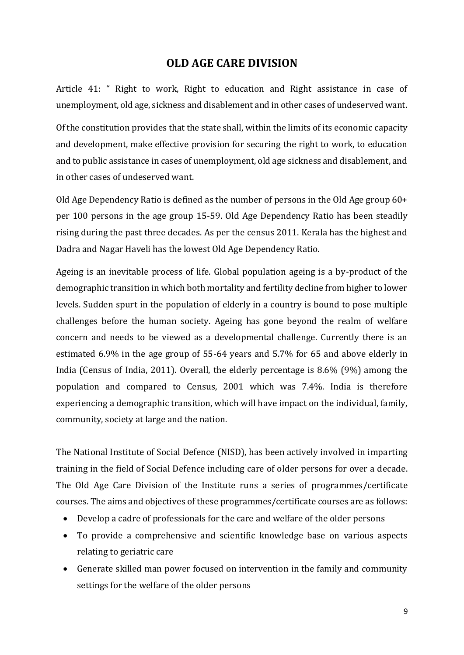#### **OLD AGE CARE DIVISION**

Article 41: " Right to work, Right to education and Right assistance in case of unemployment, old age, sickness and disablement and in other cases of undeserved want.

Of the constitution provides that the state shall, within the limits of its economic capacity and development, make effective provision for securing the right to work, to education and to public assistance in cases of unemployment, old age sickness and disablement, and in other cases of undeserved want.

Old Age Dependency Ratio is defined as the number of persons in the Old Age group 60+ per 100 persons in the age group 15-59. Old Age Dependency Ratio has been steadily rising during the past three decades. As per the census 2011. Kerala has the highest and Dadra and Nagar Haveli has the lowest Old Age Dependency Ratio.

Ageing is an inevitable process of life. Global population ageing is a by-product of the demographic transition in which both mortality and fertility decline from higher to lower levels. Sudden spurt in the population of elderly in a country is bound to pose multiple challenges before the human society. Ageing has gone beyond the realm of welfare concern and needs to be viewed as a developmental challenge. Currently there is an estimated 6.9% in the age group of 55-64 years and 5.7% for 65 and above elderly in India (Census of India, 2011). Overall, the elderly percentage is 8.6% (9%) among the population and compared to Census, 2001 which was 7.4%. India is therefore experiencing a demographic transition, which will have impact on the individual, family, community, society at large and the nation.

The National Institute of Social Defence (NISD), has been actively involved in imparting training in the field of Social Defence including care of older persons for over a decade. The Old Age Care Division of the Institute runs a series of programmes/certificate courses. The aims and objectives of these programmes/certificate courses are as follows:

- Develop a cadre of professionals for the care and welfare of the older persons
- To provide a comprehensive and scientific knowledge base on various aspects relating to geriatric care
- Generate skilled man power focused on intervention in the family and community settings for the welfare of the older persons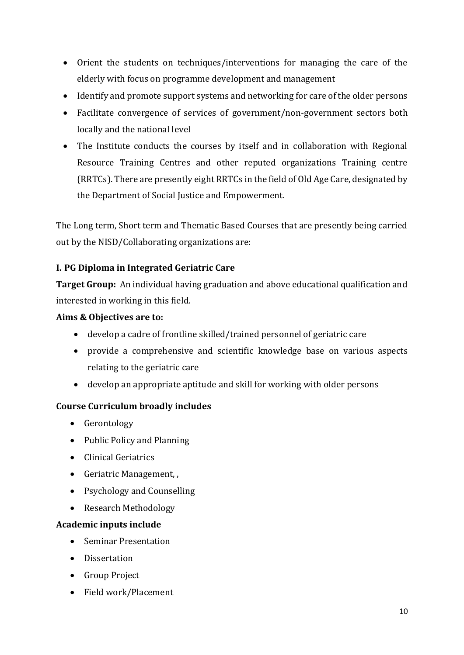- Orient the students on techniques/interventions for managing the care of the elderly with focus on programme development and management
- Identify and promote support systems and networking for care of the older persons
- Facilitate convergence of services of government/non-government sectors both locally and the national level
- The Institute conducts the courses by itself and in collaboration with Regional Resource Training Centres and other reputed organizations Training centre (RRTCs). There are presently eight RRTCs in the field of Old Age Care, designated by the Department of Social Justice and Empowerment.

The Long term, Short term and Thematic Based Courses that are presently being carried out by the NISD/Collaborating organizations are:

#### **I. PG Diploma in Integrated Geriatric Care**

**Target Group:** An individual having graduation and above educational qualification and interested in working in this field.

#### **Aims & Objectives are to:**

- develop a cadre of frontline skilled/trained personnel of geriatric care
- provide a comprehensive and scientific knowledge base on various aspects relating to the geriatric care
- develop an appropriate aptitude and skill for working with older persons

#### **Course Curriculum broadly includes**

- Gerontology
- Public Policy and Planning
- Clinical Geriatrics
- Geriatric Management, ,
- Psychology and Counselling
- Research Methodology

#### **Academic inputs include**

- Seminar Presentation
- Dissertation
- Group Project
- Field work/Placement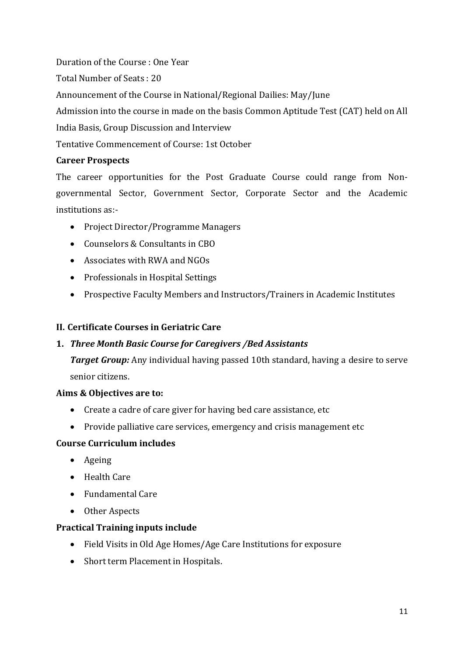Duration of the Course : One Year Total Number of Seats : 20 Announcement of the Course in National/Regional Dailies: May/June Admission into the course in made on the basis Common Aptitude Test (CAT) held on All India Basis, Group Discussion and Interview Tentative Commencement of Course: 1st October

#### **Career Prospects**

The career opportunities for the Post Graduate Course could range from Nongovernmental Sector, Government Sector, Corporate Sector and the Academic institutions as:-

- Project Director/Programme Managers
- Counselors & Consultants in CBO
- Associates with RWA and NGOs
- Professionals in Hospital Settings
- Prospective Faculty Members and Instructors/Trainers in Academic Institutes

#### **II. Certificate Courses in Geriatric Care**

#### **1.** *Three Month Basic Course for Caregivers /Bed Assistants*

*Target Group:* Any individual having passed 10th standard, having a desire to serve senior citizens.

#### **Aims & Objectives are to:**

- Create a cadre of care giver for having bed care assistance, etc
- Provide palliative care services, emergency and crisis management etc

#### **Course Curriculum includes**

- Ageing
- Health Care
- Fundamental Care
- Other Aspects

#### **Practical Training inputs include**

- Field Visits in Old Age Homes/Age Care Institutions for exposure
- Short term Placement in Hospitals.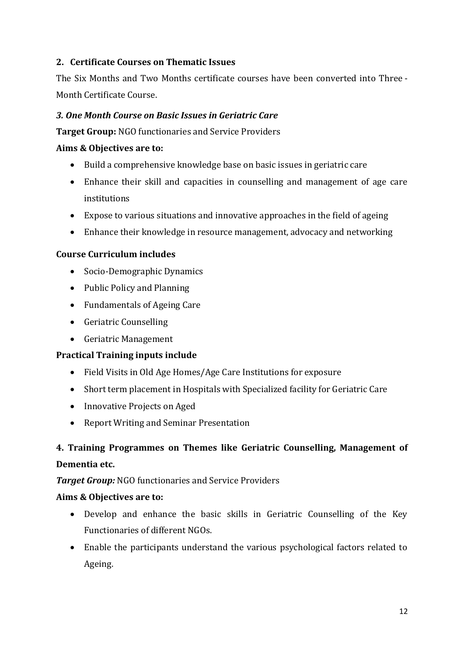#### **2. Certificate Courses on Thematic Issues**

The Six Months and Two Months certificate courses have been converted into Three - Month Certificate Course.

#### *3. One Month Course on Basic Issues in Geriatric Care*

**Target Group:** NGO functionaries and Service Providers

#### **Aims & Objectives are to:**

- Build a comprehensive knowledge base on basic issues in geriatric care
- Enhance their skill and capacities in counselling and management of age care institutions
- Expose to various situations and innovative approaches in the field of ageing
- Enhance their knowledge in resource management, advocacy and networking

#### **Course Curriculum includes**

- Socio-Demographic Dynamics
- Public Policy and Planning
- Fundamentals of Ageing Care
- Geriatric Counselling
- Geriatric Management

#### **Practical Training inputs include**

- Field Visits in Old Age Homes/Age Care Institutions for exposure
- Short term placement in Hospitals with Specialized facility for Geriatric Care
- Innovative Projects on Aged
- Report Writing and Seminar Presentation

### **4. Training Programmes on Themes like Geriatric Counselling, Management of Dementia etc.**

#### *Target Group:* NGO functionaries and Service Providers

#### **Aims & Objectives are to:**

- Develop and enhance the basic skills in Geriatric Counselling of the Key Functionaries of different NGOs.
- Enable the participants understand the various psychological factors related to Ageing.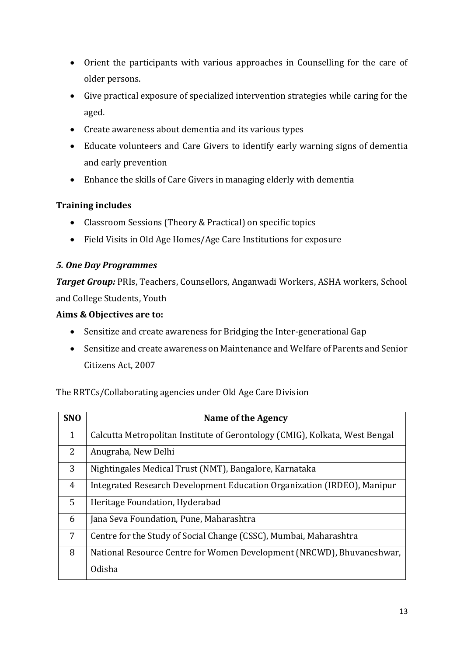- Orient the participants with various approaches in Counselling for the care of older persons.
- Give practical exposure of specialized intervention strategies while caring for the aged.
- Create awareness about dementia and its various types
- Educate volunteers and Care Givers to identify early warning signs of dementia and early prevention
- Enhance the skills of Care Givers in managing elderly with dementia

#### **Training includes**

- Classroom Sessions (Theory & Practical) on specific topics
- Field Visits in Old Age Homes/Age Care Institutions for exposure

#### *5. One Day Programmes*

*Target Group:* PRIs, Teachers, Counsellors, Anganwadi Workers, ASHA workers, School and College Students, Youth

#### **Aims & Objectives are to:**

- Sensitize and create awareness for Bridging the Inter-generational Gap
- Sensitize and create awareness on Maintenance and Welfare of Parents and Senior Citizens Act, 2007

The RRTCs/Collaborating agencies under Old Age Care Division

| <b>SNO</b>     | Name of the Agency                                                          |
|----------------|-----------------------------------------------------------------------------|
| 1              | Calcutta Metropolitan Institute of Gerontology (CMIG), Kolkata, West Bengal |
| 2              | Anugraha, New Delhi                                                         |
| 3              | Nightingales Medical Trust (NMT), Bangalore, Karnataka                      |
| 4              | Integrated Research Development Education Organization (IRDEO), Manipur     |
| 5              | Heritage Foundation, Hyderabad                                              |
| 6              | Jana Seva Foundation, Pune, Maharashtra                                     |
| $\overline{7}$ | Centre for the Study of Social Change (CSSC), Mumbai, Maharashtra           |
| 8              | National Resource Centre for Women Development (NRCWD), Bhuvaneshwar,       |
|                | Odisha                                                                      |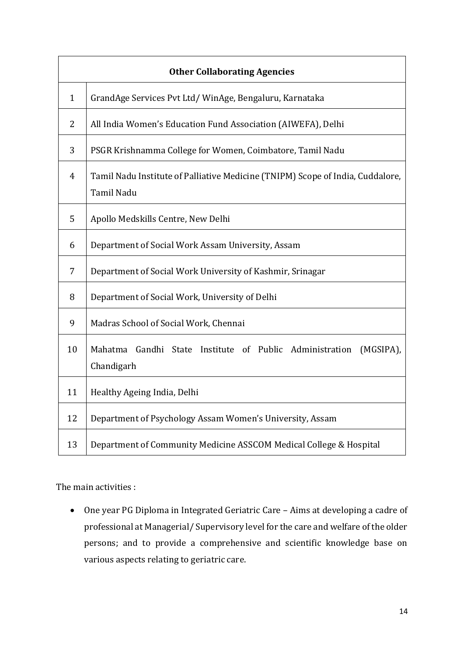|                | <b>Other Collaborating Agencies</b>                                                          |  |
|----------------|----------------------------------------------------------------------------------------------|--|
| $\mathbf{1}$   | GrandAge Services Pvt Ltd/WinAge, Bengaluru, Karnataka                                       |  |
| $\overline{2}$ | All India Women's Education Fund Association (AIWEFA), Delhi                                 |  |
| 3              | PSGR Krishnamma College for Women, Coimbatore, Tamil Nadu                                    |  |
| 4              | Tamil Nadu Institute of Palliative Medicine (TNIPM) Scope of India, Cuddalore,<br>Tamil Nadu |  |
| 5              | Apollo Medskills Centre, New Delhi                                                           |  |
| 6              | Department of Social Work Assam University, Assam                                            |  |
| 7              | Department of Social Work University of Kashmir, Srinagar                                    |  |
| 8              | Department of Social Work, University of Delhi                                               |  |
| 9              | Madras School of Social Work, Chennai                                                        |  |
| 10             | Gandhi State Institute of Public Administration<br>Mahatma<br>(MGSIPA),<br>Chandigarh        |  |
| 11             | Healthy Ageing India, Delhi                                                                  |  |
| 12             | Department of Psychology Assam Women's University, Assam                                     |  |
| 13             | Department of Community Medicine ASSCOM Medical College & Hospital                           |  |

The main activities :

 One year PG Diploma in Integrated Geriatric Care – Aims at developing a cadre of professional at Managerial/ Supervisory level for the care and welfare of the older persons; and to provide a comprehensive and scientific knowledge base on various aspects relating to geriatric care.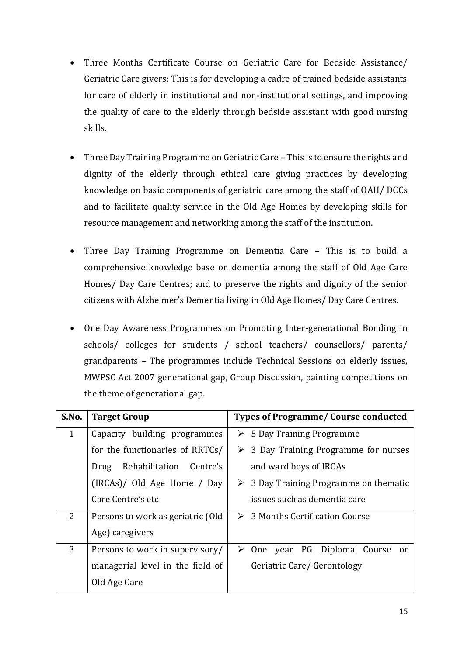- Three Months Certificate Course on Geriatric Care for Bedside Assistance/ Geriatric Care givers: This is for developing a cadre of trained bedside assistants for care of elderly in institutional and non-institutional settings, and improving the quality of care to the elderly through bedside assistant with good nursing skills.
- Three Day Training Programme on Geriatric Care This is to ensure the rights and dignity of the elderly through ethical care giving practices by developing knowledge on basic components of geriatric care among the staff of OAH/ DCCs and to facilitate quality service in the Old Age Homes by developing skills for resource management and networking among the staff of the institution.
- Three Day Training Programme on Dementia Care This is to build a comprehensive knowledge base on dementia among the staff of Old Age Care Homes/ Day Care Centres; and to preserve the rights and dignity of the senior citizens with Alzheimer's Dementia living in Old Age Homes/ Day Care Centres.
- One Day Awareness Programmes on Promoting Inter-generational Bonding in schools/ colleges for students / school teachers/ counsellors/ parents/ grandparents – The programmes include Technical Sessions on elderly issues, MWPSC Act 2007 generational gap, Group Discussion, painting competitions on the theme of generational gap.

| S.No.        | <b>Target Group</b>               | <b>Types of Programme/ Course conducted</b>          |
|--------------|-----------------------------------|------------------------------------------------------|
| $\mathbf{1}$ | Capacity building programmes      | $\triangleright$ 5 Day Training Programme            |
|              | for the functionaries of RRTCs/   | $\triangleright$ 3 Day Training Programme for nurses |
|              | Rehabilitation Centre's<br>Drug   | and ward boys of IRCAs                               |
|              | (IRCAs)/ Old Age Home / Day       | 3 Day Training Programme on thematic                 |
|              | Care Centre's etc                 | issues such as dementia care                         |
| 2            | Persons to work as geriatric (Old | $\triangleright$ 3 Months Certification Course       |
|              | Age) caregivers                   |                                                      |
| 3            | Persons to work in supervisory/   | $\triangleright$ One year PG Diploma Course<br>on    |
|              | managerial level in the field of  | Geriatric Care/ Gerontology                          |
|              | Old Age Care                      |                                                      |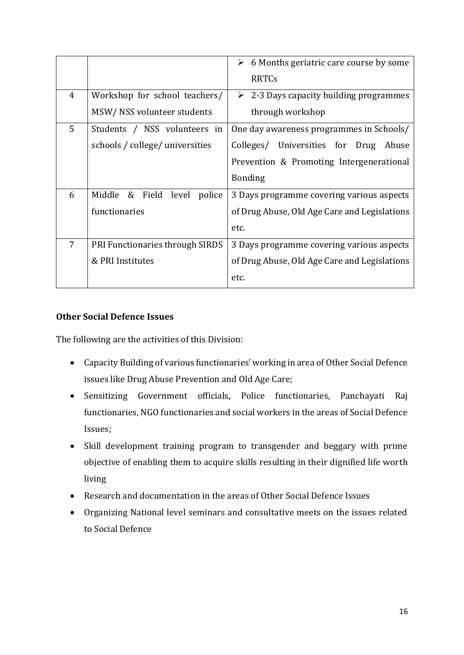|                |                                 | 6 Months geriatric care course by some<br>➤<br><b>RRTCs</b> |
|----------------|---------------------------------|-------------------------------------------------------------|
| $\overline{4}$ | Workshop for school teachers/   | $\geq$ 2-3 Days capacity building programmes                |
|                | MSW/NSS volunteer students      | through workshop                                            |
| 5              | Students / NSS volunteers in    | One day awareness programmes in Schools/                    |
|                | schools / college/ universities | Colleges/ Universities for Drug Abuse                       |
|                |                                 | Prevention & Promoting Intergenerational                    |
|                |                                 | <b>Bonding</b>                                              |
| 6              | Middle & Field level<br>police  | 3 Days programme covering various aspects                   |
|                | functionaries                   | of Drug Abuse, Old Age Care and Legislations                |
|                |                                 | etc.                                                        |
| 7              | PRI Functionaries through SIRDS | 3 Days programme covering various aspects                   |
|                | & PRI Institutes                | of Drug Abuse, Old Age Care and Legislations                |
|                |                                 | etc.                                                        |
|                |                                 |                                                             |

#### **Other Social Defence Issues**

The following are the activities of this Division:

- Capacity Building of various functionaries' working in area of Other Social Defence issues like Drug Abuse Prevention and Old Age Care;
- Sensitizing Government officials, Police functionaries, Panchayati Raj functionaries, NGO functionaries and social workers in the areas of Social Defence Issues;
- Skill development training program to transgender and beggary with prime objective of enabling them to acquire skills resulting in their dignified life worth living
- Research and documentation in the areas of Other Social Defence Issues
- Organizing National level seminars and consultative meets on the issues related to Social Defence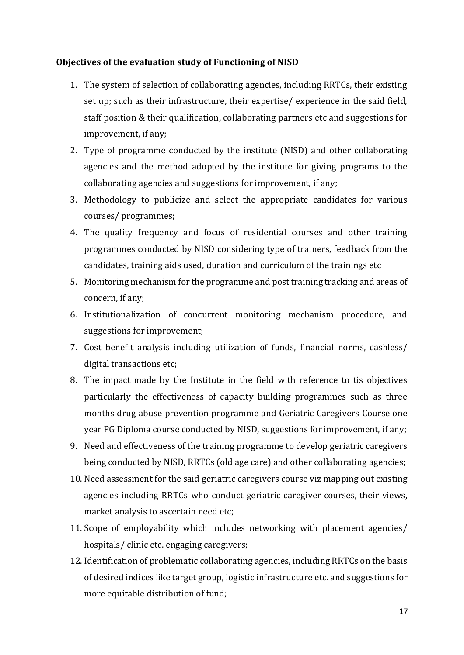#### **Objectives of the evaluation study of Functioning of NISD**

- 1. The system of selection of collaborating agencies, including RRTCs, their existing set up; such as their infrastructure, their expertise/ experience in the said field, staff position & their qualification, collaborating partners etc and suggestions for improvement, if any;
- 2. Type of programme conducted by the institute (NISD) and other collaborating agencies and the method adopted by the institute for giving programs to the collaborating agencies and suggestions for improvement, if any;
- 3. Methodology to publicize and select the appropriate candidates for various courses/ programmes;
- 4. The quality frequency and focus of residential courses and other training programmes conducted by NISD considering type of trainers, feedback from the candidates, training aids used, duration and curriculum of the trainings etc
- 5. Monitoring mechanism for the programme and post training tracking and areas of concern, if any;
- 6. Institutionalization of concurrent monitoring mechanism procedure, and suggestions for improvement;
- 7. Cost benefit analysis including utilization of funds, financial norms, cashless/ digital transactions etc;
- 8. The impact made by the Institute in the field with reference to tis objectives particularly the effectiveness of capacity building programmes such as three months drug abuse prevention programme and Geriatric Caregivers Course one year PG Diploma course conducted by NISD, suggestions for improvement, if any;
- 9. Need and effectiveness of the training programme to develop geriatric caregivers being conducted by NISD, RRTCs (old age care) and other collaborating agencies;
- 10. Need assessment for the said geriatric caregivers course viz mapping out existing agencies including RRTCs who conduct geriatric caregiver courses, their views, market analysis to ascertain need etc;
- 11. Scope of employability which includes networking with placement agencies/ hospitals/ clinic etc. engaging caregivers;
- 12. Identification of problematic collaborating agencies, including RRTCs on the basis of desired indices like target group, logistic infrastructure etc. and suggestions for more equitable distribution of fund;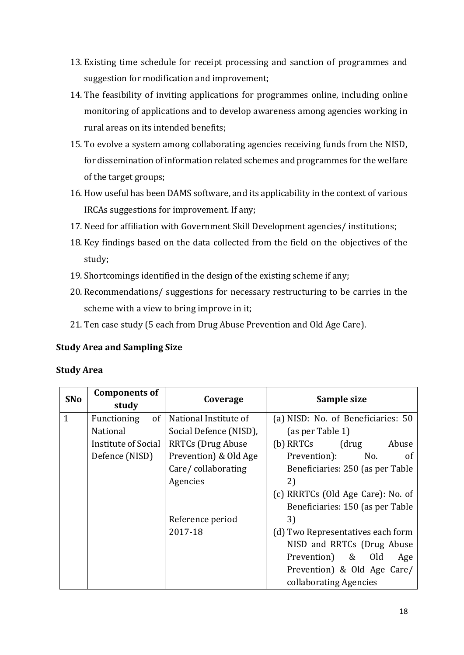- 13. Existing time schedule for receipt processing and sanction of programmes and suggestion for modification and improvement;
- 14. The feasibility of inviting applications for programmes online, including online monitoring of applications and to develop awareness among agencies working in rural areas on its intended benefits;
- 15. To evolve a system among collaborating agencies receiving funds from the NISD, for dissemination of information related schemes and programmes for the welfare of the target groups;
- 16. How useful has been DAMS software, and its applicability in the context of various IRCAs suggestions for improvement. If any;
- 17. Need for affiliation with Government Skill Development agencies/ institutions;
- 18. Key findings based on the data collected from the field on the objectives of the study;
- 19. Shortcomings identified in the design of the existing scheme if any;
- 20. Recommendations/ suggestions for necessary restructuring to be carries in the scheme with a view to bring improve in it;
- 21. Ten case study (5 each from Drug Abuse Prevention and Old Age Care).

#### **Study Area and Sampling Size**

#### **Study Area**

| SNo          | <b>Components of</b><br>study | Coverage                  | Sample size                          |  |
|--------------|-------------------------------|---------------------------|--------------------------------------|--|
| $\mathbf{1}$ | of<br>Functioning             | National Institute of     | (a) NISD: No. of Beneficiaries: 50   |  |
|              | National                      | Social Defence (NISD),    | (as per Table 1)                     |  |
|              | Institute of Social           | <b>RRTCs (Drug Abuse)</b> | (drug<br>(b) RRTCs<br>Abuse          |  |
|              | Defence (NISD)                | Prevention) & Old Age     | Prevention):<br>No.<br><sub>of</sub> |  |
|              |                               | Care/collaborating        | Beneficiaries: 250 (as per Table     |  |
|              |                               | Agencies                  | 2)                                   |  |
|              |                               |                           | (c) RRRTCs (Old Age Care): No. of    |  |
|              |                               |                           | Beneficiaries: 150 (as per Table     |  |
|              |                               | Reference period          | 3)                                   |  |
|              |                               | 2017-18                   | (d) Two Representatives each form    |  |
|              |                               |                           | NISD and RRTCs (Drug Abuse           |  |
|              |                               |                           | Prevention) & Old<br>Age             |  |
|              |                               |                           | Prevention) & Old Age Care/          |  |
|              |                               |                           | collaborating Agencies               |  |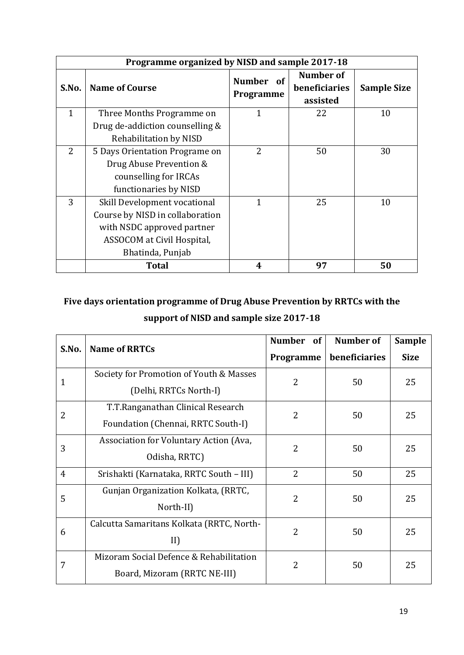|              | Programme organized by NISD and sample 2017-18 |                                             |                                        |                    |  |
|--------------|------------------------------------------------|---------------------------------------------|----------------------------------------|--------------------|--|
| S.No.        | <b>Name of Course</b>                          | <b>Number</b><br><sub>of</sub><br>Programme | Number of<br>beneficiaries<br>assisted | <b>Sample Size</b> |  |
| $\mathbf{1}$ | Three Months Programme on                      | $\mathbf{1}$                                | 22                                     | 10                 |  |
|              | Drug de-addiction counselling &                |                                             |                                        |                    |  |
|              | Rehabilitation by NISD                         |                                             |                                        |                    |  |
| 2            | 5 Days Orientation Programe on                 | $\overline{2}$                              | 50                                     | 30                 |  |
|              | Drug Abuse Prevention &                        |                                             |                                        |                    |  |
|              | counselling for IRCAs                          |                                             |                                        |                    |  |
|              | functionaries by NISD                          |                                             |                                        |                    |  |
| 3            | Skill Development vocational                   | 1                                           | 25                                     | 10                 |  |
|              | Course by NISD in collaboration                |                                             |                                        |                    |  |
|              | with NSDC approved partner                     |                                             |                                        |                    |  |
|              | ASSOCOM at Civil Hospital,                     |                                             |                                        |                    |  |
|              | Bhatinda, Punjab                               |                                             |                                        |                    |  |
|              | <b>Total</b>                                   | 4                                           | 97                                     | 50                 |  |

## **Five days orientation programme of Drug Abuse Prevention by RRTCs with the support of NISD and sample size 2017-18**

|                |                                           | Number of      | <b>Number of</b>     | <b>Sample</b> |
|----------------|-------------------------------------------|----------------|----------------------|---------------|
| S.No.          | <b>Name of RRTCs</b>                      | Programme      | beneficiaries        | <b>Size</b>   |
| 1              | Society for Promotion of Youth & Masses   | $\overline{2}$ | 50                   | 25            |
|                | (Delhi, RRTCs North-I)                    |                |                      |               |
| 2              | T.T.Ranganathan Clinical Research         | $\overline{2}$ | 50                   | 25            |
|                | Foundation (Chennai, RRTC South-I)        |                |                      |               |
| 3              | Association for Voluntary Action (Ava,    | $\overline{2}$ | 50                   | 25            |
|                | Odisha, RRTC)                             |                |                      |               |
| $\overline{4}$ | Srishakti (Karnataka, RRTC South - III)   | $\overline{2}$ | 50                   | 25            |
| 5              | Gunjan Organization Kolkata, (RRTC,       | $\overline{2}$ | 50                   | 25            |
|                | North-II)                                 |                |                      |               |
| 6              | Calcutta Samaritans Kolkata (RRTC, North- | 2              | 50                   | 25            |
|                | II)                                       |                |                      |               |
| 7              | Mizoram Social Defence & Rehabilitation   |                | $\overline{2}$<br>50 | 25            |
|                | Board, Mizoram (RRTC NE-III)              |                |                      |               |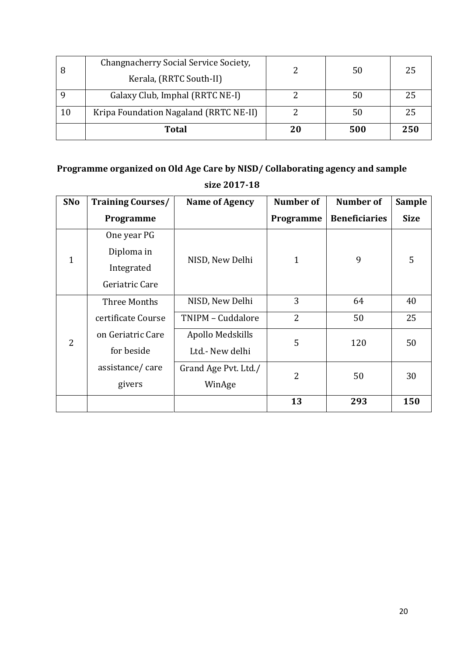| 8  | Changnacherry Social Service Society,  |    | 50<br>50 | 25  |
|----|----------------------------------------|----|----------|-----|
|    | Kerala, (RRTC South-II)                |    |          |     |
|    | Galaxy Club, Imphal (RRTC NE-I)        |    |          | 25  |
| 10 | Kripa Foundation Nagaland (RRTC NE-II) |    | 50       | 25  |
|    | <b>Total</b>                           | 20 | 500      | 250 |

## **Programme organized on Old Age Care by NISD/ Collaborating agency and sample size 2017-18**

| SNo          | <b>Training Courses/</b> | <b>Name of Agency</b> | <b>Number of</b> | Number of            | <b>Sample</b> |
|--------------|--------------------------|-----------------------|------------------|----------------------|---------------|
|              | Programme                |                       | Programme        | <b>Beneficiaries</b> | <b>Size</b>   |
|              | One year PG              |                       |                  |                      |               |
| $\mathbf{1}$ | Diploma in               | NISD, New Delhi       |                  | 9                    | 5             |
|              | Integrated               |                       | $\mathbf{1}$     |                      |               |
|              | Geriatric Care           |                       |                  |                      |               |
|              | Three Months             | NISD, New Delhi       | 3                | 64                   | 40            |
|              | certificate Course       | TNIPM - Cuddalore     | $\overline{2}$   | 50                   | 25            |
| 2            | on Geriatric Care        | Apollo Medskills      | 5                | 120                  | 50            |
|              | for beside               | Ltd.- New delhi       |                  |                      |               |
|              | assistance/care          | Grand Age Pvt. Ltd./  | 2                | 50                   | 30            |
|              | givers                   | WinAge                |                  |                      |               |
|              |                          |                       | 13               | 293                  | 150           |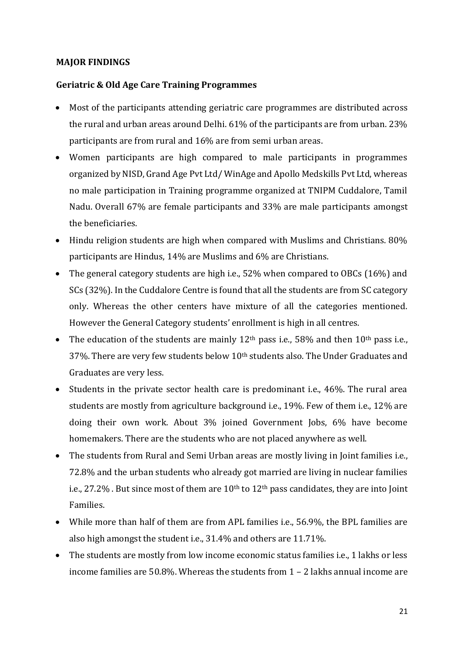#### **MAJOR FINDINGS**

#### **Geriatric & Old Age Care Training Programmes**

- Most of the participants attending geriatric care programmes are distributed across the rural and urban areas around Delhi. 61% of the participants are from urban. 23% participants are from rural and 16% are from semi urban areas.
- Women participants are high compared to male participants in programmes organized by NISD, Grand Age Pvt Ltd/ WinAge and Apollo Medskills Pvt Ltd, whereas no male participation in Training programme organized at TNIPM Cuddalore, Tamil Nadu. Overall 67% are female participants and 33% are male participants amongst the beneficiaries.
- Hindu religion students are high when compared with Muslims and Christians. 80% participants are Hindus, 14% are Muslims and 6% are Christians.
- The general category students are high i.e., 52% when compared to OBCs (16%) and SCs (32%). In the Cuddalore Centre is found that all the students are from SC category only. Whereas the other centers have mixture of all the categories mentioned. However the General Category students' enrollment is high in all centres.
- The education of the students are mainly  $12<sup>th</sup>$  pass i.e., 58% and then  $10<sup>th</sup>$  pass i.e., 37%. There are very few students below 10<sup>th</sup> students also. The Under Graduates and Graduates are very less.
- Students in the private sector health care is predominant i.e., 46%. The rural area students are mostly from agriculture background i.e., 19%. Few of them i.e., 12% are doing their own work. About 3% joined Government Jobs, 6% have become homemakers. There are the students who are not placed anywhere as well.
- The students from Rural and Semi Urban areas are mostly living in Joint families i.e., 72.8% and the urban students who already got married are living in nuclear families i.e., 27.2% . But since most of them are 10<sup>th</sup> to 12<sup>th</sup> pass candidates, they are into Joint Families.
- While more than half of them are from APL families i.e., 56.9%, the BPL families are also high amongst the student i.e., 31.4% and others are 11.71%.
- The students are mostly from low income economic status families i.e., 1 lakhs or less income families are 50.8%. Whereas the students from 1 – 2 lakhs annual income are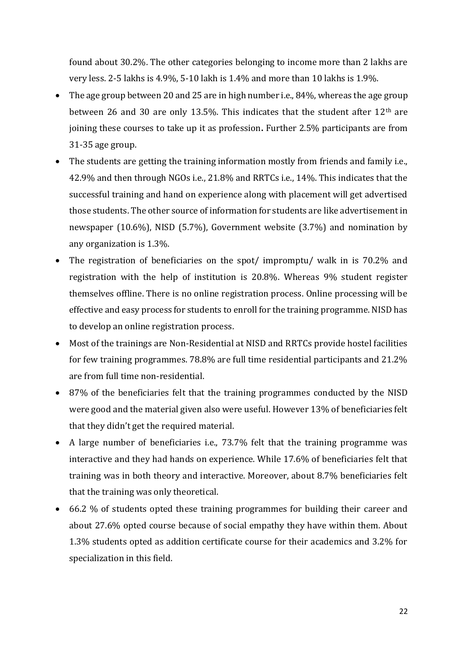found about 30.2%. The other categories belonging to income more than 2 lakhs are very less. 2-5 lakhs is 4.9%, 5-10 lakh is 1.4% and more than 10 lakhs is 1.9%.

- The age group between 20 and 25 are in high number i.e., 84%, whereas the age group between 26 and 30 are only 13.5%. This indicates that the student after  $12<sup>th</sup>$  are joining these courses to take up it as profession**.** Further 2.5% participants are from 31-35 age group.
- The students are getting the training information mostly from friends and family i.e., 42.9% and then through NGOs i.e., 21.8% and RRTCs i.e., 14%. This indicates that the successful training and hand on experience along with placement will get advertised those students. The other source of information for students are like advertisement in newspaper (10.6%), NISD (5.7%), Government website (3.7%) and nomination by any organization is 1.3%.
- The registration of beneficiaries on the spot/ impromptu/ walk in is 70.2% and registration with the help of institution is 20.8%. Whereas 9% student register themselves offline. There is no online registration process. Online processing will be effective and easy process for students to enroll for the training programme. NISD has to develop an online registration process.
- Most of the trainings are Non-Residential at NISD and RRTCs provide hostel facilities for few training programmes. 78.8% are full time residential participants and 21.2% are from full time non-residential.
- 87% of the beneficiaries felt that the training programmes conducted by the NISD were good and the material given also were useful. However 13% of beneficiaries felt that they didn't get the required material.
- A large number of beneficiaries i.e., 73.7% felt that the training programme was interactive and they had hands on experience. While 17.6% of beneficiaries felt that training was in both theory and interactive. Moreover, about 8.7% beneficiaries felt that the training was only theoretical.
- 66.2 % of students opted these training programmes for building their career and about 27.6% opted course because of social empathy they have within them. About 1.3% students opted as addition certificate course for their academics and 3.2% for specialization in this field.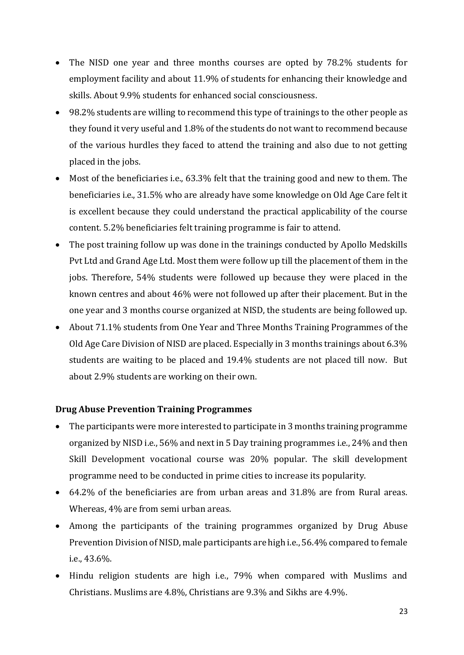- The NISD one year and three months courses are opted by 78.2% students for employment facility and about 11.9% of students for enhancing their knowledge and skills. About 9.9% students for enhanced social consciousness.
- 98.2% students are willing to recommend this type of trainings to the other people as they found it very useful and 1.8% of the students do not want to recommend because of the various hurdles they faced to attend the training and also due to not getting placed in the jobs.
- Most of the beneficiaries i.e., 63.3% felt that the training good and new to them. The beneficiaries i.e., 31.5% who are already have some knowledge on Old Age Care felt it is excellent because they could understand the practical applicability of the course content. 5.2% beneficiaries felt training programme is fair to attend.
- The post training follow up was done in the trainings conducted by Apollo Medskills Pvt Ltd and Grand Age Ltd. Most them were follow up till the placement of them in the jobs. Therefore, 54% students were followed up because they were placed in the known centres and about 46% were not followed up after their placement. But in the one year and 3 months course organized at NISD, the students are being followed up.
- About 71.1% students from One Year and Three Months Training Programmes of the Old Age Care Division of NISD are placed. Especially in 3 months trainings about 6.3% students are waiting to be placed and 19.4% students are not placed till now. But about 2.9% students are working on their own.

#### **Drug Abuse Prevention Training Programmes**

- The participants were more interested to participate in 3 months training programme organized by NISD i.e., 56% and next in 5 Day training programmes i.e., 24% and then Skill Development vocational course was 20% popular. The skill development programme need to be conducted in prime cities to increase its popularity.
- 64.2% of the beneficiaries are from urban areas and 31.8% are from Rural areas. Whereas, 4% are from semi urban areas.
- Among the participants of the training programmes organized by Drug Abuse Prevention Division of NISD, male participants are high i.e., 56.4% compared to female i.e., 43.6%.
- Hindu religion students are high i.e., 79% when compared with Muslims and Christians. Muslims are 4.8%, Christians are 9.3% and Sikhs are 4.9%.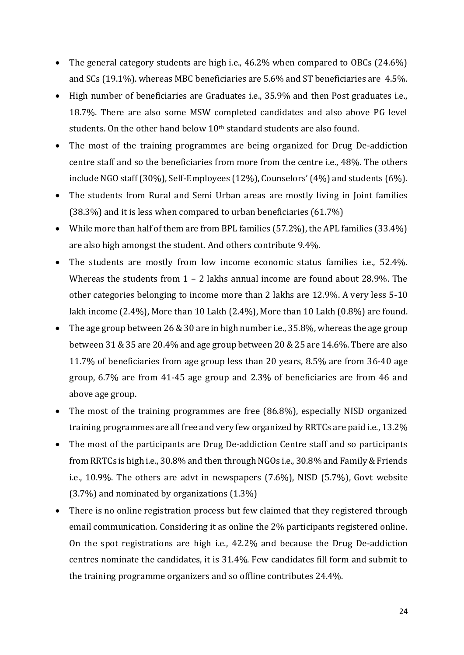- The general category students are high i.e., 46.2% when compared to OBCs (24.6%) and SCs (19.1%). whereas MBC beneficiaries are 5.6% and ST beneficiaries are 4.5%.
- High number of beneficiaries are Graduates i.e., 35.9% and then Post graduates i.e., 18.7%. There are also some MSW completed candidates and also above PG level students. On the other hand below 10<sup>th</sup> standard students are also found.
- The most of the training programmes are being organized for Drug De-addiction centre staff and so the beneficiaries from more from the centre i.e., 48%. The others include NGO staff (30%), Self-Employees (12%), Counselors' (4%) and students (6%).
- The students from Rural and Semi Urban areas are mostly living in Joint families (38.3%) and it is less when compared to urban beneficiaries (61.7%)
- While more than half of them are from BPL families (57.2%), the APL families (33.4%) are also high amongst the student. And others contribute 9.4%.
- The students are mostly from low income economic status families i.e., 52.4%. Whereas the students from 1 - 2 lakhs annual income are found about 28.9%. The other categories belonging to income more than 2 lakhs are 12.9%. A very less 5-10 lakh income (2.4%), More than 10 Lakh (2.4%), More than 10 Lakh (0.8%) are found.
- The age group between 26 & 30 are in high number i.e., 35.8%, whereas the age group between 31 & 35 are 20.4% and age group between 20 & 25 are 14.6%. There are also 11.7% of beneficiaries from age group less than 20 years, 8.5% are from 36-40 age group, 6.7% are from 41-45 age group and 2.3% of beneficiaries are from 46 and above age group.
- The most of the training programmes are free (86.8%), especially NISD organized training programmes are all free and very few organized by RRTCs are paid i.e., 13.2%
- The most of the participants are Drug De-addiction Centre staff and so participants from RRTCs is high i.e., 30.8% and then through NGOs i.e., 30.8% and Family & Friends i.e., 10.9%. The others are advt in newspapers (7.6%), NISD (5.7%), Govt website (3.7%) and nominated by organizations (1.3%)
- There is no online registration process but few claimed that they registered through email communication. Considering it as online the 2% participants registered online. On the spot registrations are high i.e., 42.2% and because the Drug De-addiction centres nominate the candidates, it is 31.4%. Few candidates fill form and submit to the training programme organizers and so offline contributes 24.4%.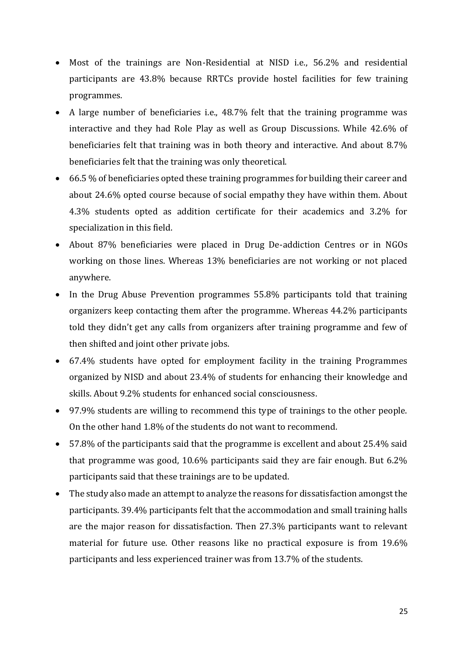- Most of the trainings are Non-Residential at NISD i.e., 56.2% and residential participants are 43.8% because RRTCs provide hostel facilities for few training programmes.
- A large number of beneficiaries i.e., 48.7% felt that the training programme was interactive and they had Role Play as well as Group Discussions. While 42.6% of beneficiaries felt that training was in both theory and interactive. And about 8.7% beneficiaries felt that the training was only theoretical.
- 66.5 % of beneficiaries opted these training programmes for building their career and about 24.6% opted course because of social empathy they have within them. About 4.3% students opted as addition certificate for their academics and 3.2% for specialization in this field.
- About 87% beneficiaries were placed in Drug De-addiction Centres or in NGOs working on those lines. Whereas 13% beneficiaries are not working or not placed anywhere.
- In the Drug Abuse Prevention programmes 55.8% participants told that training organizers keep contacting them after the programme. Whereas 44.2% participants told they didn't get any calls from organizers after training programme and few of then shifted and joint other private jobs.
- 67.4% students have opted for employment facility in the training Programmes organized by NISD and about 23.4% of students for enhancing their knowledge and skills. About 9.2% students for enhanced social consciousness.
- 97.9% students are willing to recommend this type of trainings to the other people. On the other hand 1.8% of the students do not want to recommend.
- 57.8% of the participants said that the programme is excellent and about 25.4% said that programme was good, 10.6% participants said they are fair enough. But 6.2% participants said that these trainings are to be updated.
- The study also made an attempt to analyze the reasons for dissatisfaction amongst the participants. 39.4% participants felt that the accommodation and small training halls are the major reason for dissatisfaction. Then 27.3% participants want to relevant material for future use. Other reasons like no practical exposure is from 19.6% participants and less experienced trainer was from 13.7% of the students.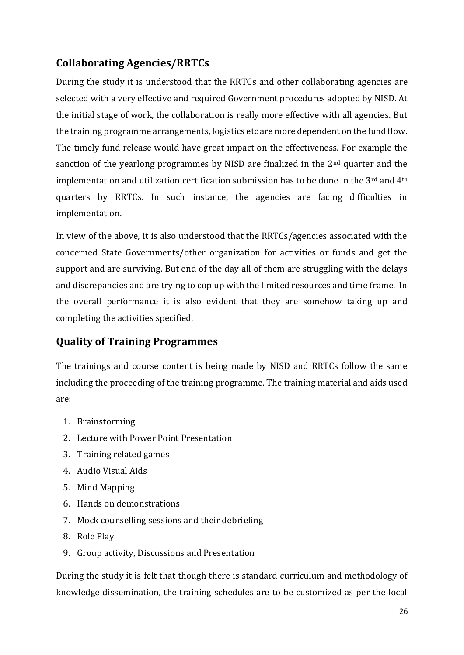### **Collaborating Agencies/RRTCs**

During the study it is understood that the RRTCs and other collaborating agencies are selected with a very effective and required Government procedures adopted by NISD. At the initial stage of work, the collaboration is really more effective with all agencies. But the training programme arrangements, logistics etc are more dependent on the fund flow. The timely fund release would have great impact on the effectiveness. For example the sanction of the yearlong programmes by NISD are finalized in the 2nd quarter and the implementation and utilization certification submission has to be done in the 3<sup>rd</sup> and 4<sup>th</sup> quarters by RRTCs. In such instance, the agencies are facing difficulties in implementation.

In view of the above, it is also understood that the RRTCs/agencies associated with the concerned State Governments/other organization for activities or funds and get the support and are surviving. But end of the day all of them are struggling with the delays and discrepancies and are trying to cop up with the limited resources and time frame. In the overall performance it is also evident that they are somehow taking up and completing the activities specified.

#### **Quality of Training Programmes**

The trainings and course content is being made by NISD and RRTCs follow the same including the proceeding of the training programme. The training material and aids used are:

- 1. Brainstorming
- 2. Lecture with Power Point Presentation
- 3. Training related games
- 4. Audio Visual Aids
- 5. Mind Mapping
- 6. Hands on demonstrations
- 7. Mock counselling sessions and their debriefing
- 8. Role Play
- 9. Group activity, Discussions and Presentation

During the study it is felt that though there is standard curriculum and methodology of knowledge dissemination, the training schedules are to be customized as per the local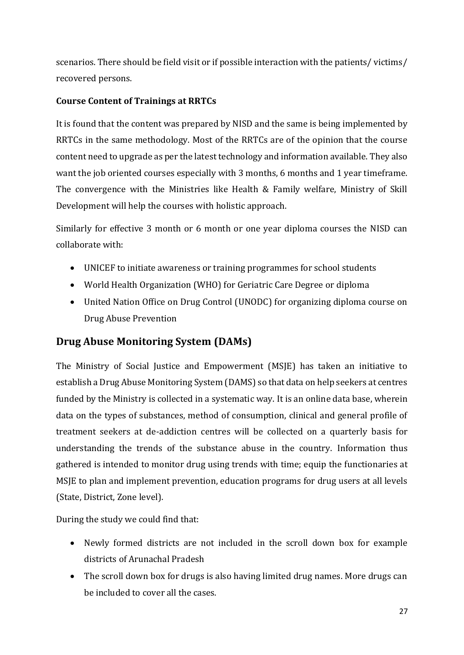scenarios. There should be field visit or if possible interaction with the patients/ victims/ recovered persons.

#### **Course Content of Trainings at RRTCs**

It is found that the content was prepared by NISD and the same is being implemented by RRTCs in the same methodology. Most of the RRTCs are of the opinion that the course content need to upgrade as per the latest technology and information available. They also want the job oriented courses especially with 3 months, 6 months and 1 year timeframe. The convergence with the Ministries like Health & Family welfare, Ministry of Skill Development will help the courses with holistic approach.

Similarly for effective 3 month or 6 month or one year diploma courses the NISD can collaborate with:

- UNICEF to initiate awareness or training programmes for school students
- World Health Organization (WHO) for Geriatric Care Degree or diploma
- United Nation Office on Drug Control (UNODC) for organizing diploma course on Drug Abuse Prevention

#### **Drug Abuse Monitoring System (DAMs)**

The Ministry of Social Justice and Empowerment (MSJE) has taken an initiative to establish a Drug Abuse Monitoring System (DAMS) so that data on help seekers at centres funded by the Ministry is collected in a systematic way. It is an online data base, wherein data on the types of substances, method of consumption, clinical and general profile of treatment seekers at de-addiction centres will be collected on a quarterly basis for understanding the trends of the substance abuse in the country. Information thus gathered is intended to monitor drug using trends with time; equip the functionaries at MSJE to plan and implement prevention, education programs for drug users at all levels (State, District, Zone level).

During the study we could find that:

- Newly formed districts are not included in the scroll down box for example districts of Arunachal Pradesh
- The scroll down box for drugs is also having limited drug names. More drugs can be included to cover all the cases.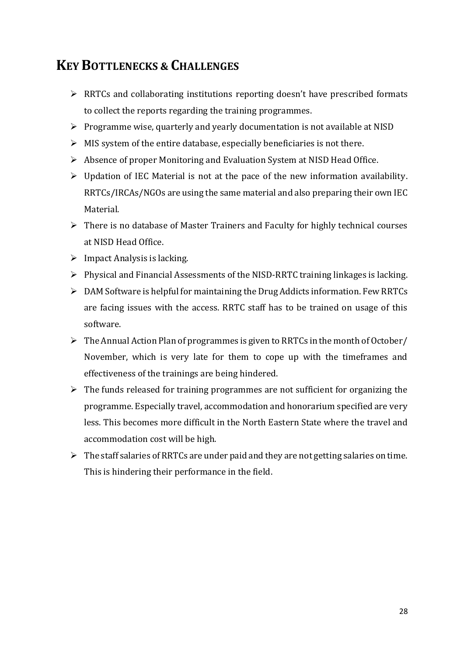## **KEY BOTTLENECKS & CHALLENGES**

- $\triangleright$  RRTCs and collaborating institutions reporting doesn't have prescribed formats to collect the reports regarding the training programmes.
- $\triangleright$  Programme wise, quarterly and yearly documentation is not available at NISD
- $\triangleright$  MIS system of the entire database, especially beneficiaries is not there.
- Absence of proper Monitoring and Evaluation System at NISD Head Office.
- $\triangleright$  Updation of IEC Material is not at the pace of the new information availability. RRTCs/IRCAs/NGOs are using the same material and also preparing their own IEC Material.
- $\triangleright$  There is no database of Master Trainers and Faculty for highly technical courses at NISD Head Office.
- $\triangleright$  Impact Analysis is lacking.
- $\triangleright$  Physical and Financial Assessments of the NISD-RRTC training linkages is lacking.
- $\triangleright$  DAM Software is helpful for maintaining the Drug Addicts information. Few RRTCs are facing issues with the access. RRTC staff has to be trained on usage of this software.
- $\triangleright$  The Annual Action Plan of programmes is given to RRTCs in the month of October/ November, which is very late for them to cope up with the timeframes and effectiveness of the trainings are being hindered.
- $\triangleright$  The funds released for training programmes are not sufficient for organizing the programme. Especially travel, accommodation and honorarium specified are very less. This becomes more difficult in the North Eastern State where the travel and accommodation cost will be high.
- $\triangleright$  The staff salaries of RRTCs are under paid and they are not getting salaries on time. This is hindering their performance in the field.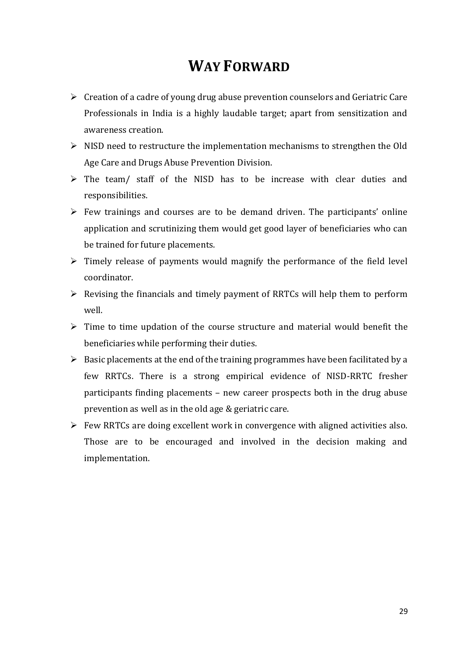## **WAY FORWARD**

- $\triangleright$  Creation of a cadre of young drug abuse prevention counselors and Geriatric Care Professionals in India is a highly laudable target; apart from sensitization and awareness creation.
- $\triangleright$  NISD need to restructure the implementation mechanisms to strengthen the Old Age Care and Drugs Abuse Prevention Division.
- $\triangleright$  The team/ staff of the NISD has to be increase with clear duties and responsibilities.
- $\triangleright$  Few trainings and courses are to be demand driven. The participants' online application and scrutinizing them would get good layer of beneficiaries who can be trained for future placements.
- $\triangleright$  Timely release of payments would magnify the performance of the field level coordinator.
- $\triangleright$  Revising the financials and timely payment of RRTCs will help them to perform well.
- $\triangleright$  Time to time updation of the course structure and material would benefit the beneficiaries while performing their duties.
- $\triangleright$  Basic placements at the end of the training programmes have been facilitated by a few RRTCs. There is a strong empirical evidence of NISD-RRTC fresher participants finding placements – new career prospects both in the drug abuse prevention as well as in the old age & geriatric care.
- $\triangleright$  Few RRTCs are doing excellent work in convergence with aligned activities also. Those are to be encouraged and involved in the decision making and implementation.